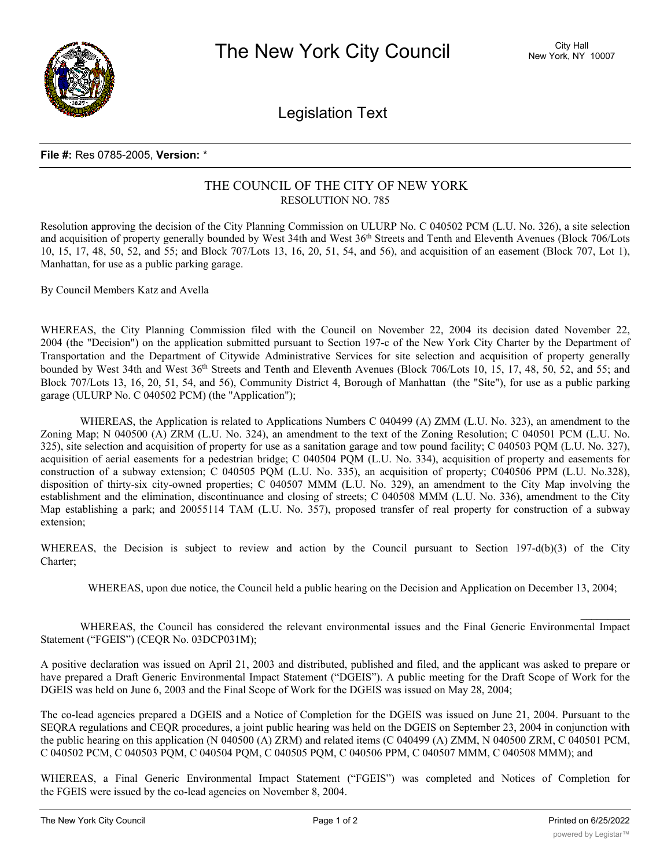

Legislation Text

## **File #:** Res 0785-2005, **Version:** \*

## THE COUNCIL OF THE CITY OF NEW YORK RESOLUTION NO. 785

Resolution approving the decision of the City Planning Commission on ULURP No. C 040502 PCM (L.U. No. 326), a site selection and acquisition of property generally bounded by West 34th and West 36th Streets and Tenth and Eleventh Avenues (Block 706/Lots 10, 15, 17, 48, 50, 52, and 55; and Block 707/Lots 13, 16, 20, 51, 54, and 56), and acquisition of an easement (Block 707, Lot 1), Manhattan, for use as a public parking garage.

By Council Members Katz and Avella

WHEREAS, the City Planning Commission filed with the Council on November 22, 2004 its decision dated November 22, 2004 (the "Decision") on the application submitted pursuant to Section 197-c of the New York City Charter by the Department of Transportation and the Department of Citywide Administrative Services for site selection and acquisition of property generally bounded by West 34th and West 36<sup>th</sup> Streets and Tenth and Eleventh Avenues (Block 706/Lots 10, 15, 17, 48, 50, 52, and 55; and Block 707/Lots 13, 16, 20, 51, 54, and 56), Community District 4, Borough of Manhattan (the "Site"), for use as a public parking garage (ULURP No. C 040502 PCM) (the "Application");

WHEREAS, the Application is related to Applications Numbers C 040499 (A) ZMM (L.U. No. 323), an amendment to the Zoning Map; N 040500 (A) ZRM (L.U. No. 324), an amendment to the text of the Zoning Resolution; C 040501 PCM (L.U. No. 325), site selection and acquisition of property for use as a sanitation garage and tow pound facility; C 040503 PQM (L.U. No. 327), acquisition of aerial easements for a pedestrian bridge; C 040504 PQM (L.U. No. 334), acquisition of property and easements for construction of a subway extension; C 040505 PQM (L.U. No. 335), an acquisition of property; C040506 PPM (L.U. No.328), disposition of thirty-six city-owned properties; C 040507 MMM (L.U. No. 329), an amendment to the City Map involving the establishment and the elimination, discontinuance and closing of streets; C 040508 MMM (L.U. No. 336), amendment to the City Map establishing a park; and 20055114 TAM (L.U. No. 357), proposed transfer of real property for construction of a subway extension;

WHEREAS, the Decision is subject to review and action by the Council pursuant to Section 197-d(b)(3) of the City Charter;

WHEREAS, upon due notice, the Council held a public hearing on the Decision and Application on December 13, 2004;

WHEREAS, the Council has considered the relevant environmental issues and the Final Generic Environmental Impact Statement ("FGEIS") (CEQR No. 03DCP031M);

A positive declaration was issued on April 21, 2003 and distributed, published and filed, and the applicant was asked to prepare or have prepared a Draft Generic Environmental Impact Statement ("DGEIS"). A public meeting for the Draft Scope of Work for the DGEIS was held on June 6, 2003 and the Final Scope of Work for the DGEIS was issued on May 28, 2004;

The co-lead agencies prepared a DGEIS and a Notice of Completion for the DGEIS was issued on June 21, 2004. Pursuant to the SEQRA regulations and CEQR procedures, a joint public hearing was held on the DGEIS on September 23, 2004 in conjunction with the public hearing on this application (N 040500 (A) ZRM) and related items (C 040499 (A) ZMM, N 040500 ZRM, C 040501 PCM, C 040502 PCM, C 040503 PQM, C 040504 PQM, C 040505 PQM, C 040506 PPM, C 040507 MMM, C 040508 MMM); and

WHEREAS, a Final Generic Environmental Impact Statement ("FGEIS") was completed and Notices of Completion for the FGEIS were issued by the co-lead agencies on November 8, 2004.